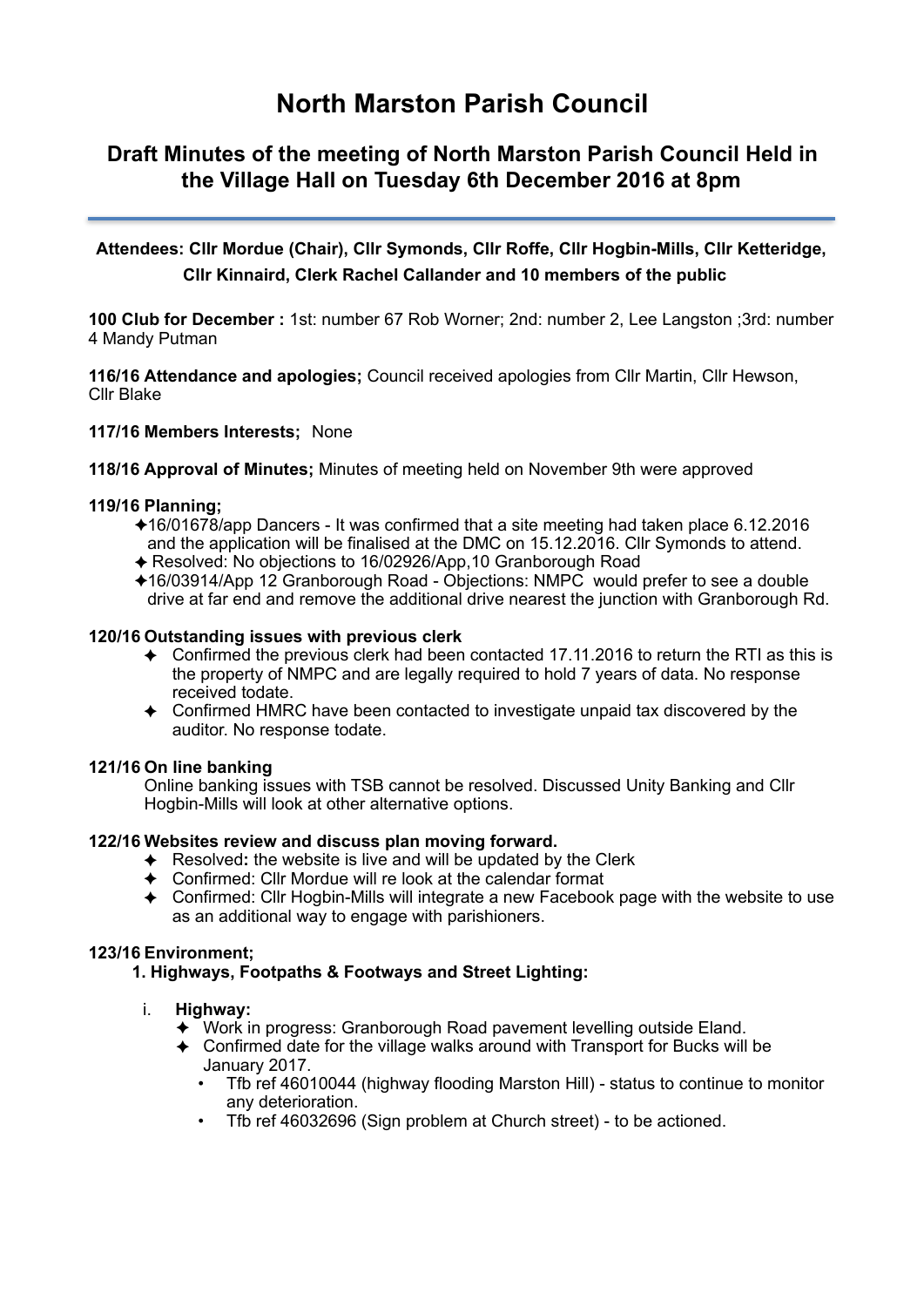# **North Marston Parish Council**

# **Draft Minutes of the meeting of North Marston Parish Council Held in the Village Hall on Tuesday 6th December 2016 at 8pm**

# **Attendees: Cllr Mordue (Chair), Cllr Symonds, Cllr Roffe, Cllr Hogbin-Mills, Cllr Ketteridge, Cllr Kinnaird, Clerk Rachel Callander and 10 members of the public**

**100 Club for December :** 1st: number 67 Rob Worner; 2nd: number 2, Lee Langston ;3rd: number 4 Mandy Putman

**116/16 Attendance and apologies;** Council received apologies from Cllr Martin, Cllr Hewson, Cllr Blake

# **117/16 Members Interests;** None

**118/16 Approval of Minutes;** Minutes of meeting held on November 9th were approved

# **119/16 Planning;**

- ✦16/01678/app Dancers It was confirmed that a site meeting had taken place 6.12.2016 and the application will be finalised at the DMC on 15.12.2016. Cllr Symonds to attend.
- ✦ Resolved: No objections to 16/02926/App,10 Granborough Road
- ✦16/03914/App 12 Granborough Road Objections: NMPC would prefer to see a double drive at far end and remove the additional drive nearest the junction with Granborough Rd.

# **120/16 Outstanding issues with previous clerk**

- $\triangle$  Confirmed the previous clerk had been contacted 17.11.2016 to return the RTI as this is the property of NMPC and are legally required to hold 7 years of data. No response received todate.
- ✦ Confirmed HMRC have been contacted to investigate unpaid tax discovered by the auditor. No response todate.

#### **121/16 On line banking**

Online banking issues with TSB cannot be resolved. Discussed Unity Banking and Cllr Hogbin-Mills will look at other alternative options.

# **122/16 Websites review and discuss plan moving forward.**

- ✦ Resolved**:** the website is live and will be updated by the Clerk
- ✦ Confirmed: Cllr Mordue will re look at the calendar format
- ✦ Confirmed: Cllr Hogbin-Mills will integrate a new Facebook page with the website to use as an additional way to engage with parishioners.

#### **123/16 Environment;**

# **1. Highways, Footpaths & Footways and Street Lighting:**

# i. **Highway:**

- ✦ Work in progress: Granborough Road pavement levelling outside Eland.
- ✦ Confirmed date for the village walks around with Transport for Bucks will be January 2017.
	- Tfb ref 46010044 (highway flooding Marston Hill) status to continue to monitor any deterioration.
	- Tfb ref 46032696 (Sign problem at Church street) to be actioned.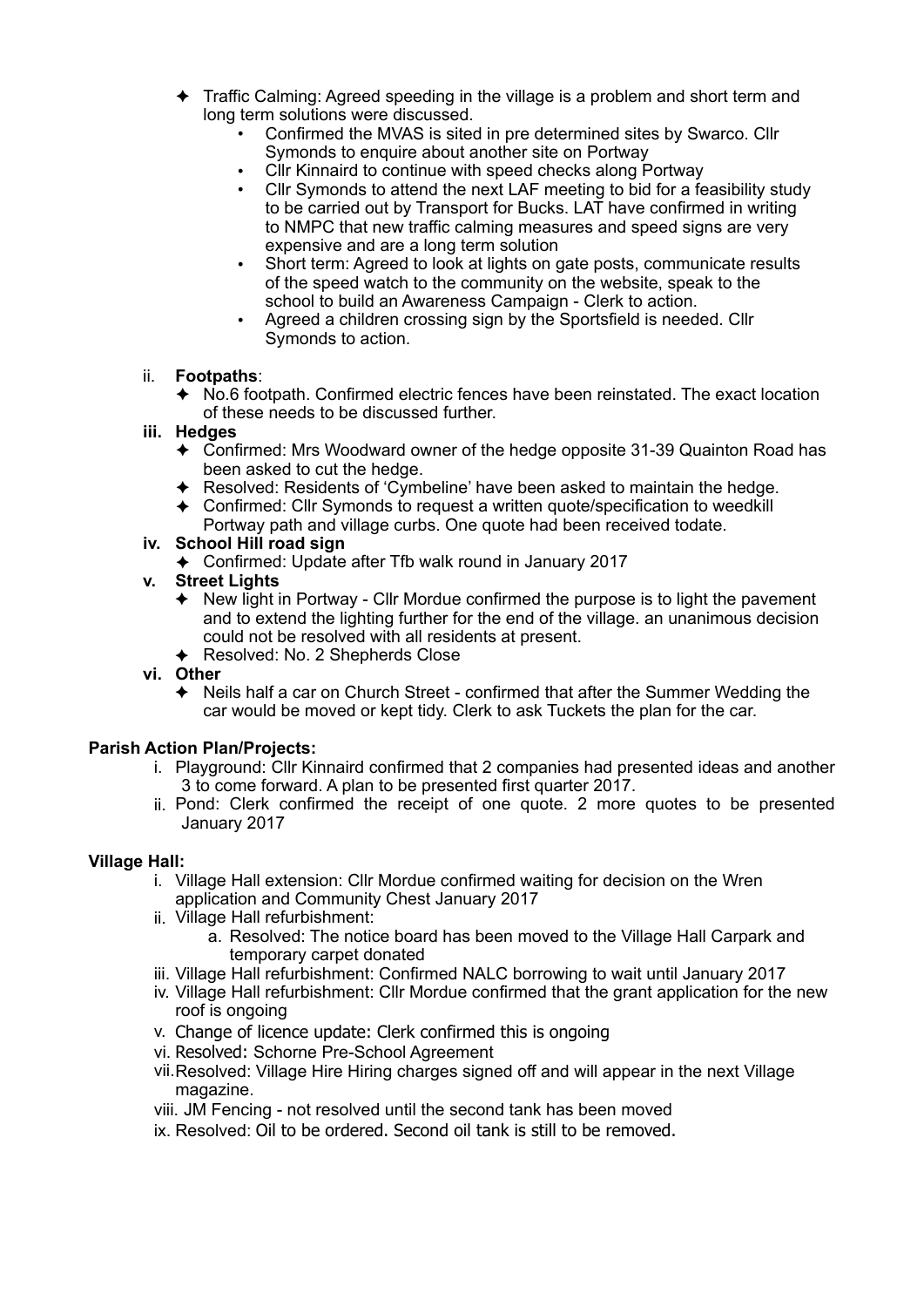- ✦ Traffic Calming: Agreed speeding in the village is a problem and short term and long term solutions were discussed.
	- Confirmed the MVAS is sited in pre determined sites by Swarco. Cllr Symonds to enquire about another site on Portway
	- Cllr Kinnaird to continue with speed checks along Portway
	- Cllr Symonds to attend the next LAF meeting to bid for a feasibility study to be carried out by Transport for Bucks. LAT have confirmed in writing to NMPC that new traffic calming measures and speed signs are very expensive and are a long term solution
	- Short term: Agreed to look at lights on gate posts, communicate results of the speed watch to the community on the website, speak to the school to build an Awareness Campaign - Clerk to action.
	- Agreed a children crossing sign by the Sportsfield is needed. Cllr Symonds to action.

# ii. **Footpaths**:

- ✦ No.6 footpath. Confirmed electric fences have been reinstated. The exact location of these needs to be discussed further.
- **iii. Hedges** 
	- ✦ Confirmed: Mrs Woodward owner of the hedge opposite 31-39 Quainton Road has been asked to cut the hedge.
	- ✦ Resolved: Residents of 'Cymbeline' have been asked to maintain the hedge.
	- ✦ Confirmed: Cllr Symonds to request a written quote/specification to weedkill Portway path and village curbs. One quote had been received todate.

# **iv. School Hill road sign**

- ✦ Confirmed: Update after Tfb walk round in January 2017
- **v. Street Lights** 
	- $\triangle$  New light in Portway Cllr Mordue confirmed the purpose is to light the pavement and to extend the lighting further for the end of the village. an unanimous decision could not be resolved with all residents at present.
	- ✦ Resolved: No. 2 Shepherds Close
- **vi. Other**
	- ✦ Neils half a car on Church Street confirmed that after the Summer Wedding the car would be moved or kept tidy. Clerk to ask Tuckets the plan for the car.

#### **Parish Action Plan/Projects:**

- i. Playground: Cllr Kinnaird confirmed that 2 companies had presented ideas and another 3 to come forward. A plan to be presented first quarter 2017.
- ii. Pond: Clerk confirmed the receipt of one quote. 2 more quotes to be presented January 2017

#### **Village Hall:**

- i. Village Hall extension: Cllr Mordue confirmed waiting for decision on the Wren application and Community Chest January 2017
- ii. Village Hall refurbishment:
	- a. Resolved: The notice board has been moved to the Village Hall Carpark and temporary carpet donated
- iii. Village Hall refurbishment: Confirmed NALC borrowing to wait until January 2017
- iv. Village Hall refurbishment: Cllr Mordue confirmed that the grant application for the new roof is ongoing
- v. Change of licence update: Clerk confirmed this is ongoing
- vi. Resolved: Schorne Pre-School Agreement
- vii.Resolved: Village Hire Hiring charges signed off and will appear in the next Village magazine.
- viii. JM Fencing not resolved until the second tank has been moved
- ix. Resolved: Oil to be ordered. Second oil tank is still to be removed.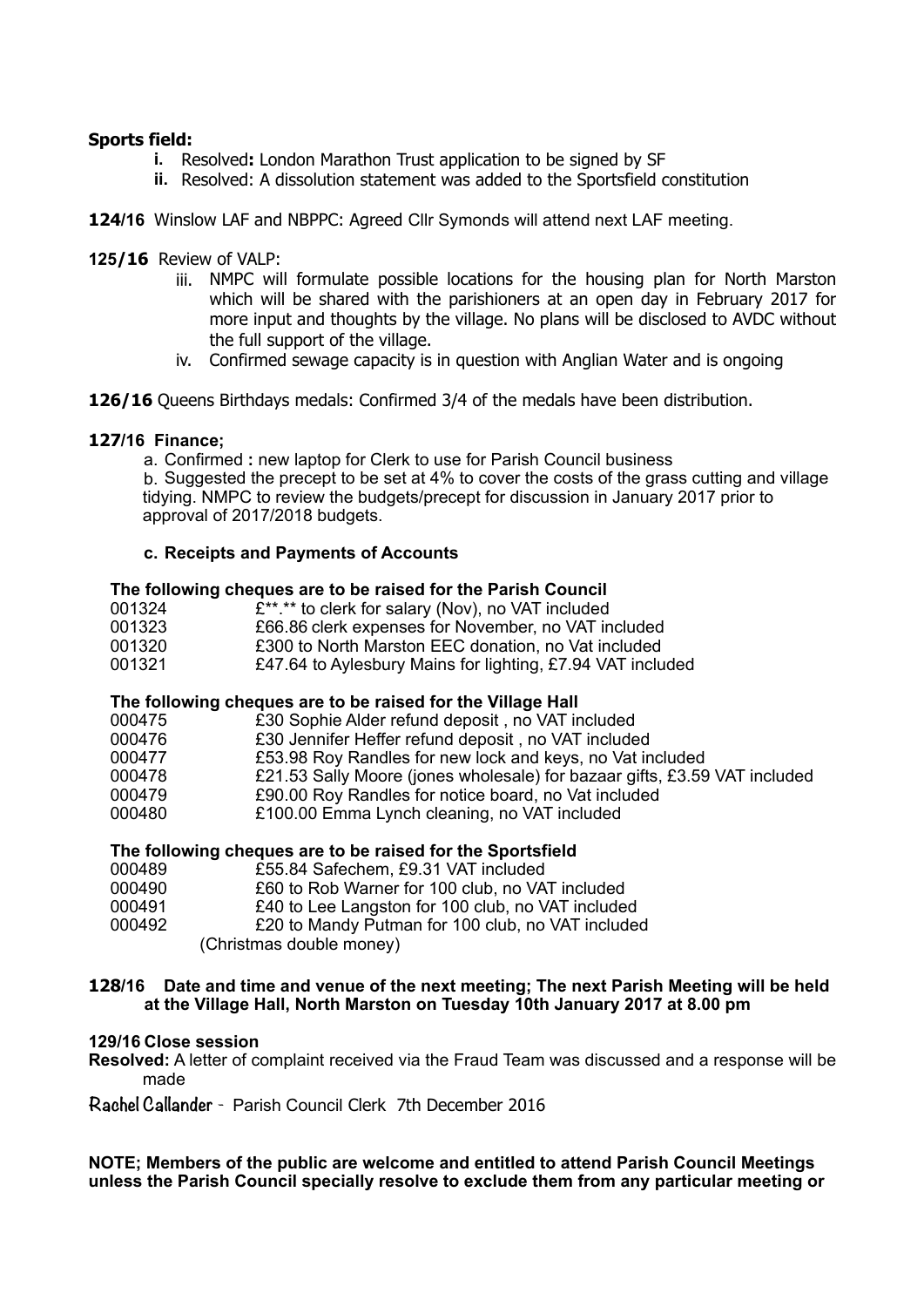# **Sports field:**

- **i.** Resolved**:** London Marathon Trust application to be signed by SF
- **ii.** Resolved: A dissolution statement was added to the Sportsfield constitution
- **124/16** Winslow LAF and NBPPC: Agreed Cllr Symonds will attend next LAF meeting.

# **125/16** Review of VALP:

- iii. NMPC will formulate possible locations for the housing plan for North Marston which will be shared with the parishioners at an open day in February 2017 for more input and thoughts by the village. No plans will be disclosed to AVDC without the full support of the village.
- iv. Confirmed sewage capacity is in question with Anglian Water and is ongoing
- **126/16** Queens Birthdays medals: Confirmed 3/4 of the medals have been distribution.

# **127/16 Finance;**

a. Confirmed **:** new laptop for Clerk to use for Parish Council business

b. Suggested the precept to be set at 4% to cover the costs of the grass cutting and village tidying. NMPC to review the budgets/precept for discussion in January 2017 prior to approval of 2017/2018 budgets.

# **c. Receipts and Payments of Accounts**

#### **The following cheques are to be raised for the Parish Council**

| 001324 | £**.** to clerk for salary (Nov), no VAT included          |
|--------|------------------------------------------------------------|
| 001323 | £66.86 clerk expenses for November, no VAT included        |
| 001320 | £300 to North Marston EEC donation, no Vat included        |
| 001321 | £47.64 to Aylesbury Mains for lighting, £7.94 VAT included |

#### **The following cheques are to be raised for the Village Hall**

| 000475 | £30 Sophie Alder refund deposit, no VAT included                          |
|--------|---------------------------------------------------------------------------|
| 000476 | £30 Jennifer Heffer refund deposit, no VAT included                       |
| 000477 | £53.98 Roy Randles for new lock and keys, no Vat included                 |
| 000478 | £21.53 Sally Moore (jones wholesale) for bazaar gifts, £3.59 VAT included |
| 000479 | £90.00 Roy Randles for notice board, no Vat included                      |
| 000480 | £100.00 Emma Lynch cleaning, no VAT included                              |
|        |                                                                           |

# **The following cheques are to be raised for the Sportsfield**

| 000489 | £55.84 Safechem, £9.31 VAT included               |
|--------|---------------------------------------------------|
| 000490 | £60 to Rob Warner for 100 club, no VAT included   |
| 000491 | £40 to Lee Langston for 100 club, no VAT included |
| 000492 | £20 to Mandy Putman for 100 club, no VAT included |
|        | (Christmas double money)                          |

#### **128/16 Date and time and venue of the next meeting; The next Parish Meeting will be held at the Village Hall, North Marston on Tuesday 10th January 2017 at 8.00 pm**

#### **129/16 Close session**

**Resolved:** A letter of complaint received via the Fraud Team was discussed and a response will be made

**Rachel Callander** - Parish Council Clerk 7th December 2016

**NOTE; Members of the public are welcome and entitled to attend Parish Council Meetings unless the Parish Council specially resolve to exclude them from any particular meeting or**